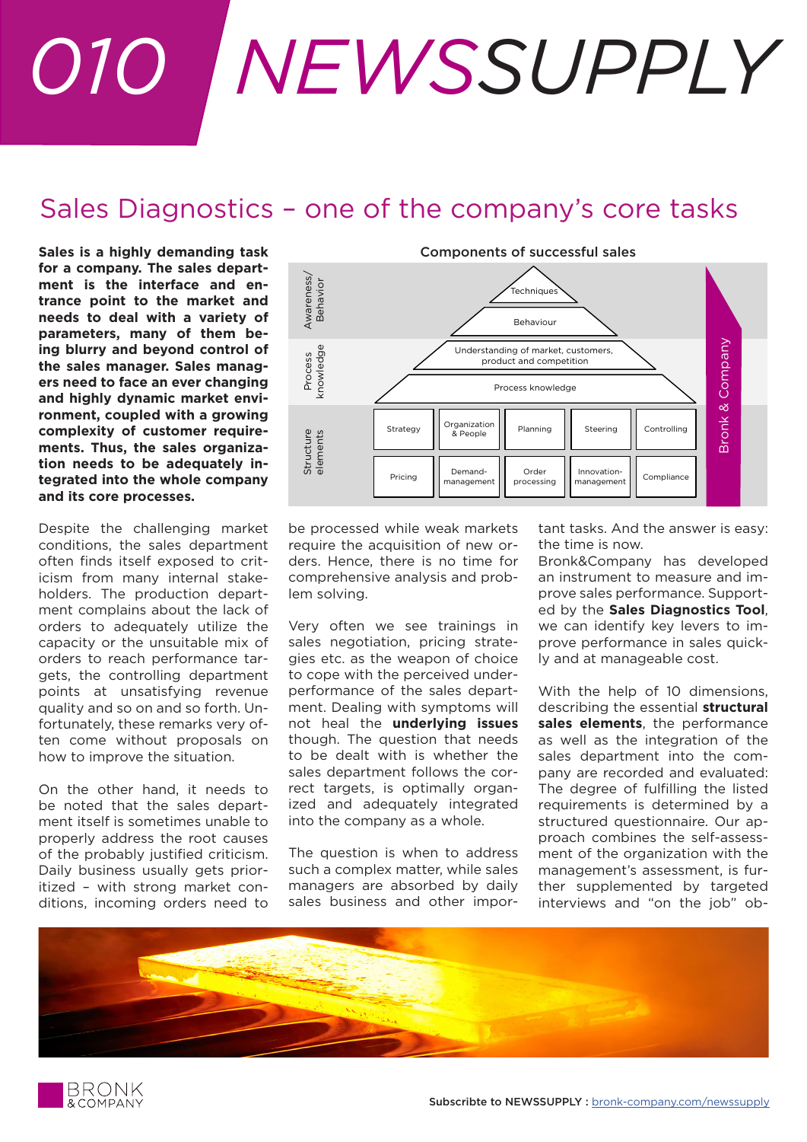## *010 NEWSSUPPLY*

## Sales Diagnostics – one of the company's core tasks

**Sales is a highly demanding task for a company. The sales department is the interface and entrance point to the market and needs to deal with a variety of parameters, many of them being blurry and beyond control of the sales manager. Sales managers need to face an ever changing and highly dynamic market environment, coupled with a growing complexity of customer requirements. Thus, the sales organization needs to be adequately integrated into the whole company and its core processes.**

Despite the challenging market conditions, the sales department often finds itself exposed to criticism from many internal stakeholders. The production department complains about the lack of orders to adequately utilize the capacity or the unsuitable mix of orders to reach performance targets, the controlling department points at unsatisfying revenue quality and so on and so forth. Unfortunately, these remarks very often come without proposals on how to improve the situation.

On the other hand, it needs to be noted that the sales department itself is sometimes unable to properly address the root causes of the probably justified criticism. Daily business usually gets prioritized – with strong market conditions, incoming orders need to



be processed while weak markets require the acquisition of new orders. Hence, there is no time for comprehensive analysis and problem solving.

Very often we see trainings in sales negotiation, pricing strategies etc. as the weapon of choice to cope with the perceived underperformance of the sales department. Dealing with symptoms will not heal the **underlying issues** though. The question that needs to be dealt with is whether the sales department follows the correct targets, is optimally organized and adequately integrated into the company as a whole.

The question is when to address such a complex matter, while sales managers are absorbed by daily sales business and other important tasks. And the answer is easy: the time is now.

Bronk&Company has developed an instrument to measure and improve sales performance. Supported by the **Sales Diagnostics Tool**, we can identify key levers to improve performance in sales quickly and at manageable cost.

With the help of 10 dimensions, describing the essential **structural sales elements**, the performance as well as the integration of the sales department into the company are recorded and evaluated: The degree of fulfilling the listed requirements is determined by a structured questionnaire. Our approach combines the self-assessment of the organization with the management's assessment, is further supplemented by targeted interviews and "on the job" ob-